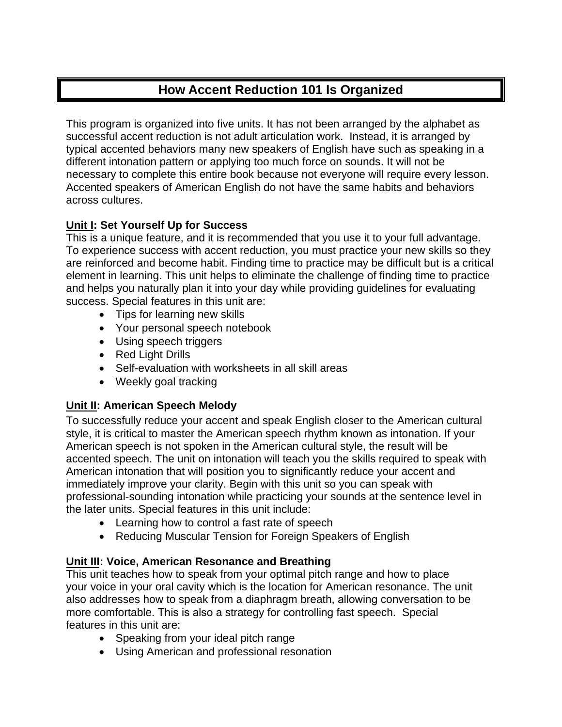# **How Accent Reduction 101 Is Organized**

This program is organized into five units. It has not been arranged by the alphabet as successful accent reduction is not adult articulation work. Instead, it is arranged by typical accented behaviors many new speakers of English have such as speaking in a different intonation pattern or applying too much force on sounds. It will not be necessary to complete this entire book because not everyone will require every lesson. Accented speakers of American English do not have the same habits and behaviors across cultures.

## **Unit I: Set Yourself Up for Success**

This is a unique feature, and it is recommended that you use it to your full advantage. To experience success with accent reduction, you must practice your new skills so they are reinforced and become habit. Finding time to practice may be difficult but is a critical element in learning. This unit helps to eliminate the challenge of finding time to practice and helps you naturally plan it into your day while providing guidelines for evaluating success. Special features in this unit are:

- Tips for learning new skills
- Your personal speech notebook
- Using speech triggers
- Red Light Drills
- Self-evaluation with worksheets in all skill areas
- Weekly goal tracking

## **Unit II: American Speech Melody**

To successfully reduce your accent and speak English closer to the American cultural style, it is critical to master the American speech rhythm known as intonation. If your American speech is not spoken in the American cultural style, the result will be accented speech. The unit on intonation will teach you the skills required to speak with American intonation that will position you to significantly reduce your accent and immediately improve your clarity. Begin with this unit so you can speak with professional-sounding intonation while practicing your sounds at the sentence level in the later units. Special features in this unit include:

- Learning how to control a fast rate of speech
- Reducing Muscular Tension for Foreign Speakers of English

### **Unit III: Voice, American Resonance and Breathing**

This unit teaches how to speak from your optimal pitch range and how to place your voice in your oral cavity which is the location for American resonance. The unit also addresses how to speak from a diaphragm breath, allowing conversation to be more comfortable. This is also a strategy for controlling fast speech. Special features in this unit are:

- Speaking from your ideal pitch range
- Using American and professional resonation